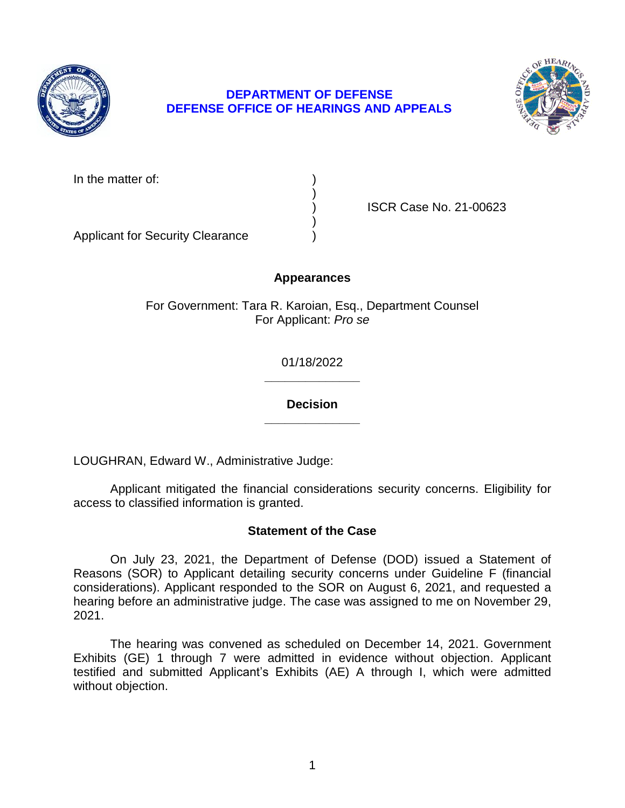

# **DEPARTMENT OF DEFENSE DEFENSE OFFICE OF HEARINGS AND APPEALS**



In the matter of:

) ISCR Case No. 21-00623

Applicant for Security Clearance )

## **Appearances**

)

)

For Government: Tara R. Karoian, Esq., Department Counsel For Applicant: *Pro se* 

> **\_\_\_\_\_\_\_\_\_\_\_\_\_\_**  01/18/2022

> **\_\_\_\_\_\_\_\_\_\_\_\_\_\_ Decision**

LOUGHRAN, Edward W., Administrative Judge:

 Applicant mitigated the financial considerations security concerns. Eligibility for access to classified information is granted.

## **Statement of the Case**

 On July 23, 2021, the Department of Defense (DOD) issued a Statement of Reasons (SOR) to Applicant detailing security concerns under Guideline F (financial considerations). Applicant responded to the SOR on August 6, 2021, and requested a hearing before an administrative judge. The case was assigned to me on November 29, 2021.

 The hearing was convened as scheduled on December 14, 2021. Government Exhibits (GE) 1 through 7 were admitted in evidence without objection. Applicant testified and submitted Applicant's Exhibits (AE) A through I, which were admitted without objection.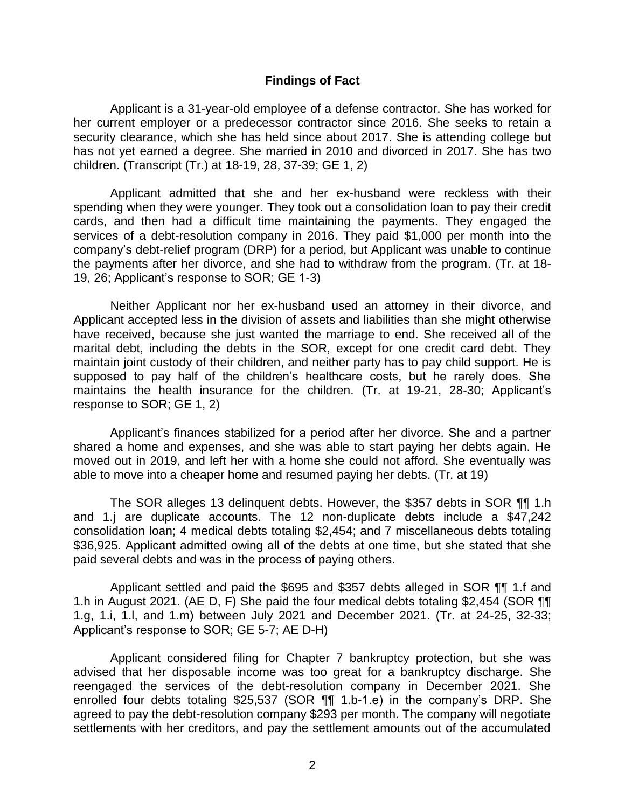#### **Findings of Fact**

 Applicant is a 31-year-old employee of a defense contractor. She has worked for her current employer or a predecessor contractor since 2016. She seeks to retain a security clearance, which she has held since about 2017. She is attending college but has not yet earned a degree. She married in 2010 and divorced in 2017. She has two children. (Transcript (Tr.) at 18-19, 28, 37-39; GE 1, 2)

 Applicant admitted that she and her ex-husband were reckless with their spending when they were younger. They took out a consolidation loan to pay their credit cards, and then had a difficult time maintaining the payments. They engaged the services of a debt-resolution company in 2016. They paid \$1,000 per month into the company's debt-relief program (DRP) for a period, but Applicant was unable to continue the payments after her divorce, and she had to withdraw from the program. (Tr. at 18- 19, 26; Applicant's response to SOR; GE 1-3)

 Neither Applicant nor her ex-husband used an attorney in their divorce, and Applicant accepted less in the division of assets and liabilities than she might otherwise have received, because she just wanted the marriage to end. She received all of the marital debt, including the debts in the SOR, except for one credit card debt. They maintain joint custody of their children, and neither party has to pay child support. He is supposed to pay half of the children's healthcare costs, but he rarely does. She maintains the health insurance for the children. (Tr. at 19-21, 28-30; Applicant's response to SOR; GE 1, 2)

 Applicant's finances stabilized for a period after her divorce. She and a partner shared a home and expenses, and she was able to start paying her debts again. He moved out in 2019, and left her with a home she could not afford. She eventually was able to move into a cheaper home and resumed paying her debts. (Tr. at 19)

 The SOR alleges 13 delinquent debts. However, the \$357 debts in SOR ¶¶ 1.h and 1.j are duplicate accounts. The 12 non-duplicate debts include a \$47,242 consolidation loan; 4 medical debts totaling \$2,454; and 7 miscellaneous debts totaling \$36,925. Applicant admitted owing all of the debts at one time, but she stated that she paid several debts and was in the process of paying others.

 Applicant settled and paid the \$695 and \$357 debts alleged in SOR ¶¶ 1.f and 1.h in August 2021. (AE D, F) She paid the four medical debts totaling \$2,454 (SOR ¶¶ 1.g, 1.i, 1.l, and 1.m) between July 2021 and December 2021. (Tr. at 24-25, 32-33; Applicant's response to SOR; GE 5-7; AE D-H)

 Applicant considered filing for Chapter 7 bankruptcy protection, but she was advised that her disposable income was too great for a bankruptcy discharge. She reengaged the services of the debt-resolution company in December 2021. She enrolled four debts totaling \$25,537 (SOR ¶¶ 1.b-1.e) in the company's DRP. She settlements with her creditors, and pay the settlement amounts out of the accumulated agreed to pay the debt-resolution company \$293 per month. The company will negotiate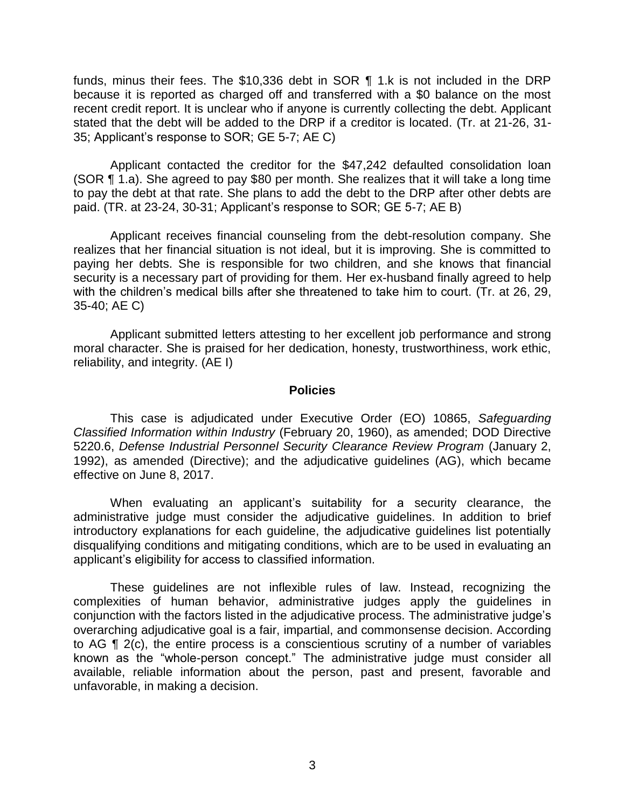funds, minus their fees. The \$10,336 debt in SOR ¶ 1.k is not included in the DRP because it is reported as charged off and transferred with a \$0 balance on the most recent credit report. It is unclear who if anyone is currently collecting the debt. Applicant stated that the debt will be added to the DRP if a creditor is located. (Tr. at 21-26, 31- 35; Applicant's response to SOR; GE 5-7; AE C)

 Applicant contacted the creditor for the \$47,242 defaulted consolidation loan (SOR ¶ 1.a). She agreed to pay \$80 per month. She realizes that it will take a long time to pay the debt at that rate. She plans to add the debt to the DRP after other debts are paid. (TR. at 23-24, 30-31; Applicant's response to SOR; GE 5-7; AE B)

 Applicant receives financial counseling from the debt-resolution company. She realizes that her financial situation is not ideal, but it is improving. She is committed to paying her debts. She is responsible for two children, and she knows that financial security is a necessary part of providing for them. Her ex-husband finally agreed to help with the children's medical bills after she threatened to take him to court. (Tr. at 26, 29, 35-40; AE C)

 Applicant submitted letters attesting to her excellent job performance and strong moral character. She is praised for her dedication, honesty, trustworthiness, work ethic, reliability, and integrity. (AE I)

#### **Policies**

 *Classified Information within Industry* (February 20, 1960), as amended; DOD Directive 5220.6, *Defense Industrial Personnel Security Clearance Review Program* (January 2, 1992), as amended (Directive); and the adjudicative guidelines (AG), which became This case is adjudicated under Executive Order (EO) 10865, *Safeguarding*  effective on June 8, 2017.

 When evaluating an applicant's suitability for a security clearance, the administrative judge must consider the adjudicative guidelines. In addition to brief introductory explanations for each guideline, the adjudicative guidelines list potentially disqualifying conditions and mitigating conditions, which are to be used in evaluating an applicant's eligibility for access to classified information.

 These guidelines are not inflexible rules of law. Instead, recognizing the complexities of human behavior, administrative judges apply the guidelines in conjunction with the factors listed in the adjudicative process. The administrative judge's overarching adjudicative goal is a fair, impartial, and commonsense decision. According to AG ¶ 2(c), the entire process is a conscientious scrutiny of a number of variables known as the "whole-person concept." The administrative judge must consider all available, reliable information about the person, past and present, favorable and unfavorable, in making a decision.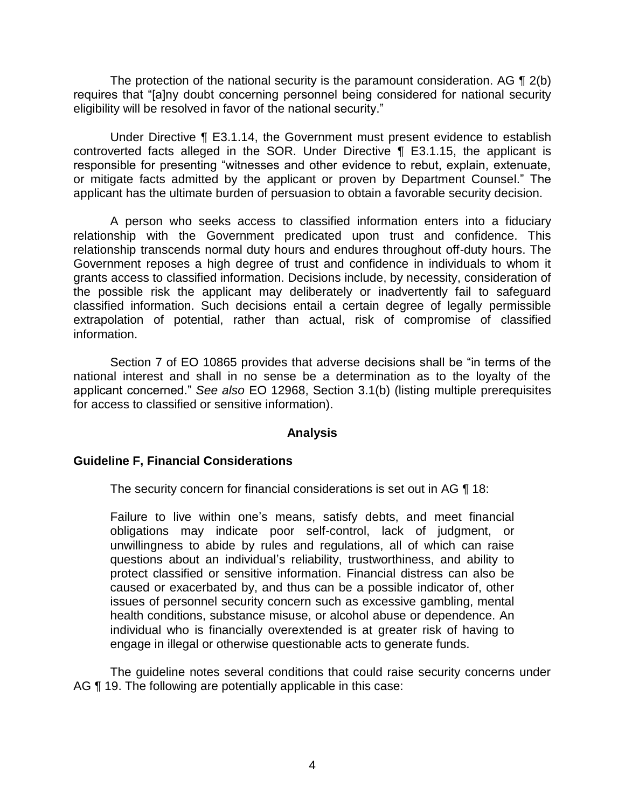The protection of the national security is the paramount consideration. AG  $\P$  2(b) eligibility will be resolved in favor of the national security." requires that "[a]ny doubt concerning personnel being considered for national security

 Under Directive ¶ E3.1.14, the Government must present evidence to establish controverted facts alleged in the SOR. Under Directive ¶ E3.1.15, the applicant is responsible for presenting "witnesses and other evidence to rebut, explain, extenuate, or mitigate facts admitted by the applicant or proven by Department Counsel." The applicant has the ultimate burden of persuasion to obtain a favorable security decision.

 A person who seeks access to classified information enters into a fiduciary relationship with the Government predicated upon trust and confidence. This relationship transcends normal duty hours and endures throughout off-duty hours. The Government reposes a high degree of trust and confidence in individuals to whom it grants access to classified information. Decisions include, by necessity, consideration of the possible risk the applicant may deliberately or inadvertently fail to safeguard classified information. Such decisions entail a certain degree of legally permissible extrapolation of potential, rather than actual, risk of compromise of classified information.

 Section 7 of EO 10865 provides that adverse decisions shall be "in terms of the national interest and shall in no sense be a determination as to the loyalty of the applicant concerned." *See also* EO 12968, Section 3.1(b) (listing multiple prerequisites for access to classified or sensitive information).

### **Analysis**

## **Guideline F, Financial Considerations**

The security concern for financial considerations is set out in AG ¶ 18:

 Failure to live within one's means, satisfy debts, and meet financial obligations may indicate poor self-control, lack of judgment, or unwillingness to abide by rules and regulations, all of which can raise questions about an individual's reliability, trustworthiness, and ability to protect classified or sensitive information. Financial distress can also be caused or exacerbated by, and thus can be a possible indicator of, other issues of personnel security concern such as excessive gambling, mental individual who is financially overextended is at greater risk of having to health conditions, substance misuse, or alcohol abuse or dependence. An engage in illegal or otherwise questionable acts to generate funds.

 The guideline notes several conditions that could raise security concerns under AG ¶ 19. The following are potentially applicable in this case: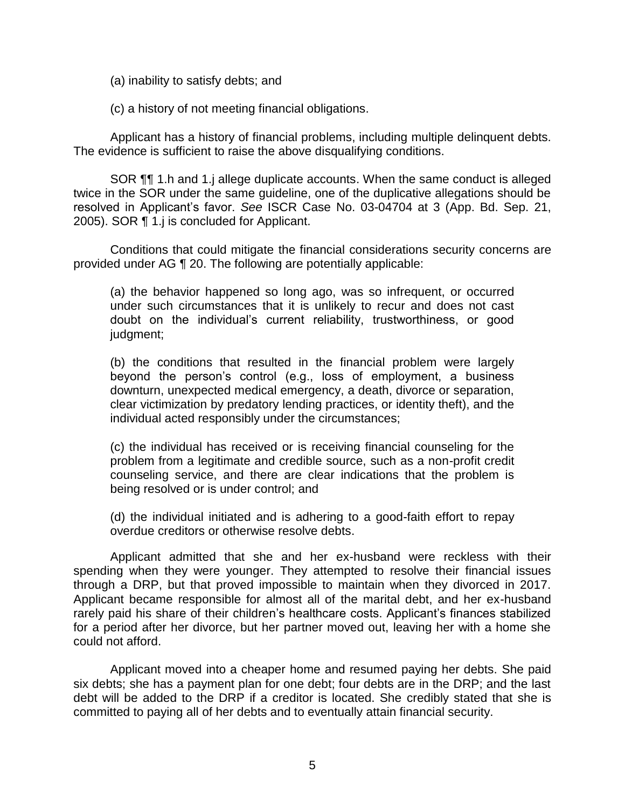(a) inability to satisfy debts; and

(c) a history of not meeting financial obligations.

 Applicant has a history of financial problems, including multiple delinquent debts. The evidence is sufficient to raise the above disqualifying conditions.

 SOR ¶¶ 1.h and 1.j allege duplicate accounts. When the same conduct is alleged twice in the SOR under the same guideline, one of the duplicative allegations should be resolved in Applicant's favor. *See* ISCR Case No. 03-04704 at 3 (App. Bd. Sep. 21, 2005). SOR ¶ 1.j is concluded for Applicant.

 provided under AG ¶ 20. The following are potentially applicable: Conditions that could mitigate the financial considerations security concerns are

 (a) the behavior happened so long ago, was so infrequent, or occurred under such circumstances that it is unlikely to recur and does not cast doubt on the individual's current reliability, trustworthiness, or good judgment;

 (b) the conditions that resulted in the financial problem were largely beyond the person's control (e.g., loss of employment, a business clear victimization by predatory lending practices, or identity theft), and the downturn, unexpected medical emergency, a death, divorce or separation, individual acted responsibly under the circumstances;

 (c) the individual has received or is receiving financial counseling for the problem from a legitimate and credible source, such as a non-profit credit counseling service, and there are clear indications that the problem is being resolved or is under control; and

 (d) the individual initiated and is adhering to a good-faith effort to repay overdue creditors or otherwise resolve debts.

 Applicant admitted that she and her ex-husband were reckless with their spending when they were younger. They attempted to resolve their financial issues through a DRP, but that proved impossible to maintain when they divorced in 2017. Applicant became responsible for almost all of the marital debt, and her ex-husband for a period after her divorce, but her partner moved out, leaving her with a home she rarely paid his share of their children's healthcare costs. Applicant's finances stabilized could not afford.

 Applicant moved into a cheaper home and resumed paying her debts. She paid six debts; she has a payment plan for one debt; four debts are in the DRP; and the last debt will be added to the DRP if a creditor is located. She credibly stated that she is committed to paying all of her debts and to eventually attain financial security.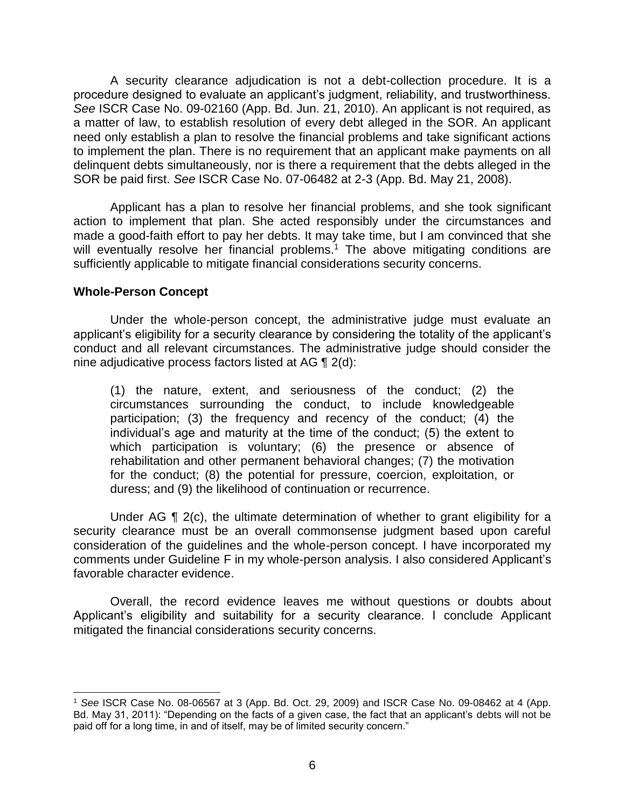A security clearance adjudication is not a debt-collection procedure. It is a procedure designed to evaluate an applicant's judgment, reliability, and trustworthiness. *See* ISCR Case No. 09-02160 (App. Bd. Jun. 21, 2010). An applicant is not required, as a matter of law, to establish resolution of every debt alleged in the SOR. An applicant need only establish a plan to resolve the financial problems and take significant actions to implement the plan. There is no requirement that an applicant make payments on all delinquent debts simultaneously, nor is there a requirement that the debts alleged in the SOR be paid first. *See* ISCR Case No. 07-06482 at 2-3 (App. Bd. May 21, 2008).

 Applicant has a plan to resolve her financial problems, and she took significant action to implement that plan. She acted responsibly under the circumstances and made a good-faith effort to pay her debts. It may take time, but I am convinced that she will eventually resolve her financial problems.<sup>1</sup> The above mitigating conditions are sufficiently applicable to mitigate financial considerations security concerns.

### **Whole-Person Concept**

 $\overline{a}$ 

 Under the whole-person concept, the administrative judge must evaluate an applicant's eligibility for a security clearance by considering the totality of the applicant's conduct and all relevant circumstances. The administrative judge should consider the nine adjudicative process factors listed at AG ¶ 2(d):

 (1) the nature, extent, and seriousness of the conduct; (2) the circumstances surrounding the conduct, to include knowledgeable participation; (3) the frequency and recency of the conduct; (4) the individual's age and maturity at the time of the conduct; (5) the extent to which participation is voluntary; (6) the presence or absence of rehabilitation and other permanent behavioral changes; (7) the motivation for the conduct; (8) the potential for pressure, coercion, exploitation, or duress; and (9) the likelihood of continuation or recurrence.

Under AG  $\P$  2(c), the ultimate determination of whether to grant eligibility for a security clearance must be an overall commonsense judgment based upon careful consideration of the guidelines and the whole-person concept. I have incorporated my comments under Guideline F in my whole-person analysis. I also considered Applicant's favorable character evidence.

 Applicant's eligibility and suitability for a security clearance. I conclude Applicant Overall, the record evidence leaves me without questions or doubts about mitigated the financial considerations security concerns.

 Bd. May 31, 2011): "Depending on the facts of a given case, the fact that an applicant's debts will not be <sup>1</sup>*See* ISCR Case No. 08-06567 at 3 (App. Bd. Oct. 29, 2009) and ISCR Case No. 09-08462 at 4 (App. paid off for a long time, in and of itself, may be of limited security concern."